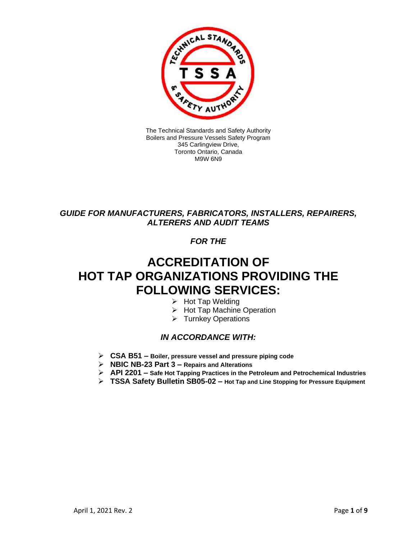

The Technical Standards and Safety Authority Boilers and Pressure Vessels Safety Program 345 Carlingview Drive, Toronto Ontario, Canada M9W 6N9

### *GUIDE FOR MANUFACTURERS, FABRICATORS, INSTALLERS, REPAIRERS, ALTERERS AND AUDIT TEAMS*

### *FOR THE*

# **ACCREDITATION OF HOT TAP ORGANIZATIONS PROVIDING THE FOLLOWING SERVICES:**

- ➢ Hot Tap Welding
- ➢ Hot Tap Machine Operation
- ➢ Turnkey Operations

#### *IN ACCORDANCE WITH:*

- ➢ **CSA B51 – Boiler, pressure vessel and pressure piping code**
- ➢ **NBIC NB-23 Part 3 – Repairs and Alterations**
- ➢ **API 2201 – Safe Hot Tapping Practices in the Petroleum and Petrochemical Industries**
- ➢ **TSSA Safety Bulletin SB05-02 – Hot Tap and Line Stopping for Pressure Equipment**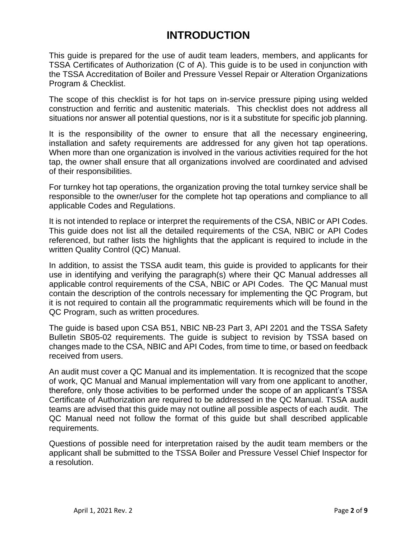## **INTRODUCTION**

This guide is prepared for the use of audit team leaders, members, and applicants for TSSA Certificates of Authorization (C of A). This guide is to be used in conjunction with the TSSA Accreditation of Boiler and Pressure Vessel Repair or Alteration Organizations Program & Checklist.

The scope of this checklist is for hot taps on in-service pressure piping using welded construction and ferritic and austenitic materials. This checklist does not address all situations nor answer all potential questions, nor is it a substitute for specific job planning.

It is the responsibility of the owner to ensure that all the necessary engineering, installation and safety requirements are addressed for any given hot tap operations. When more than one organization is involved in the various activities required for the hot tap, the owner shall ensure that all organizations involved are coordinated and advised of their responsibilities.

For turnkey hot tap operations, the organization proving the total turnkey service shall be responsible to the owner/user for the complete hot tap operations and compliance to all applicable Codes and Regulations.

It is not intended to replace or interpret the requirements of the CSA, NBIC or API Codes. This guide does not list all the detailed requirements of the CSA, NBIC or API Codes referenced, but rather lists the highlights that the applicant is required to include in the written Quality Control (QC) Manual.

In addition, to assist the TSSA audit team, this guide is provided to applicants for their use in identifying and verifying the paragraph(s) where their QC Manual addresses all applicable control requirements of the CSA, NBIC or API Codes. The QC Manual must contain the description of the controls necessary for implementing the QC Program, but it is not required to contain all the programmatic requirements which will be found in the QC Program, such as written procedures.

The guide is based upon CSA B51, NBIC NB-23 Part 3, API 2201 and the TSSA Safety Bulletin SB05-02 requirements. The guide is subject to revision by TSSA based on changes made to the CSA, NBIC and API Codes, from time to time, or based on feedback received from users.

An audit must cover a QC Manual and its implementation. It is recognized that the scope of work, QC Manual and Manual implementation will vary from one applicant to another, therefore, only those activities to be performed under the scope of an applicant's TSSA Certificate of Authorization are required to be addressed in the QC Manual. TSSA audit teams are advised that this guide may not outline all possible aspects of each audit. The QC Manual need not follow the format of this guide but shall described applicable requirements.

Questions of possible need for interpretation raised by the audit team members or the applicant shall be submitted to the TSSA Boiler and Pressure Vessel Chief Inspector for a resolution.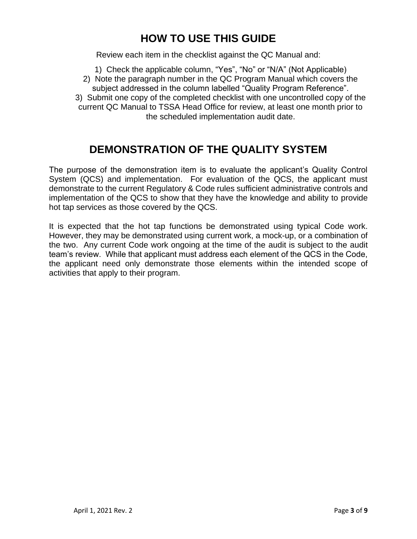## **HOW TO USE THIS GUIDE**

Review each item in the checklist against the QC Manual and:

1) Check the applicable column, "Yes", "No" or "N/A" (Not Applicable)

2) Note the paragraph number in the QC Program Manual which covers the subject addressed in the column labelled "Quality Program Reference". 3) Submit one copy of the completed checklist with one uncontrolled copy of the current QC Manual to TSSA Head Office for review, at least one month prior to the scheduled implementation audit date.

### **DEMONSTRATION OF THE QUALITY SYSTEM**

The purpose of the demonstration item is to evaluate the applicant's Quality Control System (QCS) and implementation. For evaluation of the QCS, the applicant must demonstrate to the current Regulatory & Code rules sufficient administrative controls and implementation of the QCS to show that they have the knowledge and ability to provide hot tap services as those covered by the QCS.

It is expected that the hot tap functions be demonstrated using typical Code work. However, they may be demonstrated using current work, a mock-up, or a combination of the two. Any current Code work ongoing at the time of the audit is subject to the audit team's review. While that applicant must address each element of the QCS in the Code, the applicant need only demonstrate those elements within the intended scope of activities that apply to their program.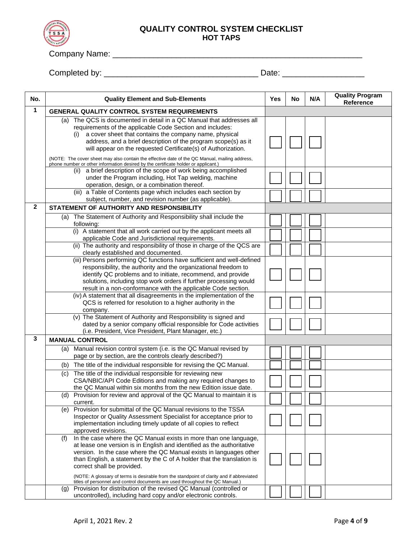

Company Name: \_\_\_\_\_\_\_\_\_\_\_\_\_\_\_\_\_\_\_\_\_\_\_\_\_\_\_\_\_\_\_\_\_\_\_\_\_\_\_\_\_\_\_\_\_\_\_\_\_\_\_\_\_\_\_

Completed by: \_\_\_\_\_\_\_\_\_\_\_\_\_\_\_\_\_\_\_\_\_\_\_\_\_\_\_\_\_\_\_\_\_\_ Date: \_\_\_\_\_\_\_\_\_\_\_\_\_\_\_\_\_\_

| 1<br><b>GENERAL QUALITY CONTROL SYSTEM REQUIREMENTS</b>                                                                                                                                                                                                                                                                                                                                                                       |  |
|-------------------------------------------------------------------------------------------------------------------------------------------------------------------------------------------------------------------------------------------------------------------------------------------------------------------------------------------------------------------------------------------------------------------------------|--|
|                                                                                                                                                                                                                                                                                                                                                                                                                               |  |
| The QCS is documented in detail in a QC Manual that addresses all<br>(a)<br>requirements of the applicable Code Section and includes:<br>a cover sheet that contains the company name, physical<br>(1)<br>address, and a brief description of the program scope(s) as it<br>will appear on the requested Certificate(s) of Authorization.                                                                                     |  |
| (NOTE: The cover sheet may also contain the effective date of the QC Manual, mailing address,<br>phone number or other information desired by the certificate holder or applicant.)<br>a brief description of the scope of work being accomplished                                                                                                                                                                            |  |
| (11)<br>under the Program including, Hot Tap welding, machine<br>operation, design, or a combination thereof.                                                                                                                                                                                                                                                                                                                 |  |
| (iii) a Table of Contents page which includes each section by<br>subject, number, and revision number (as applicable).                                                                                                                                                                                                                                                                                                        |  |
| 2<br>STATEMENT OF AUTHORITY AND RESPONSIBILITY                                                                                                                                                                                                                                                                                                                                                                                |  |
| (a) The Statement of Authority and Responsibility shall include the<br>following:                                                                                                                                                                                                                                                                                                                                             |  |
| (i) A statement that all work carried out by the applicant meets all<br>applicable Code and Jurisdictional requirements.                                                                                                                                                                                                                                                                                                      |  |
| (ii) The authority and responsibility of those in charge of the QCS are<br>clearly established and documented.                                                                                                                                                                                                                                                                                                                |  |
| (iii) Persons performing QC functions have sufficient and well-defined<br>responsibility, the authority and the organizational freedom to<br>identify QC problems and to initiate, recommend, and provide<br>solutions, including stop work orders if further processing would<br>result in a non-conformance with the applicable Code section.                                                                               |  |
| (iv) A statement that all disagreements in the implementation of the<br>QCS is referred for resolution to a higher authority in the<br>company.                                                                                                                                                                                                                                                                               |  |
| (v) The Statement of Authority and Responsibility is signed and<br>dated by a senior company official responsible for Code activities<br>(i.e. President, Vice President, Plant Manager, etc.)                                                                                                                                                                                                                                |  |
| 3<br><b>MANUAL CONTROL</b>                                                                                                                                                                                                                                                                                                                                                                                                    |  |
| Manual revision control system (i.e. is the QC Manual revised by<br>(a)<br>page or by section, are the controls clearly described?)                                                                                                                                                                                                                                                                                           |  |
| (b) The title of the individual responsible for revising the QC Manual.                                                                                                                                                                                                                                                                                                                                                       |  |
| The title of the individual responsible for reviewing new<br>(c)<br>CSA/NBIC/API Code Editions and making any required changes to<br>the QC Manual within six months from the new Edition issue date.                                                                                                                                                                                                                         |  |
| Provision for review and approval of the QC Manual to maintain it is<br>(d)<br>current.                                                                                                                                                                                                                                                                                                                                       |  |
| (e) Provision for submittal of the QC Manual revisions to the TSSA<br>Inspector or Quality Assessment Specialist for acceptance prior to<br>implementation including timely update of all copies to reflect<br>approved revisions.                                                                                                                                                                                            |  |
| In the case where the QC Manual exists in more than one language,<br>(f)<br>at lease one version is in English and identified as the authoritative<br>version. In the case where the QC Manual exists in languages other<br>than English, a statement by the C of A holder that the translation is<br>correct shall be provided.<br>(NOTE: A glossary of terms is desirable from the standpoint of clarity and if abbreviated |  |
| titles of personnel and control documents are used throughout the QC Manual.)<br>Provision for distribution of the revised QC Manual (controlled or<br>(g)<br>uncontrolled), including hard copy and/or electronic controls.                                                                                                                                                                                                  |  |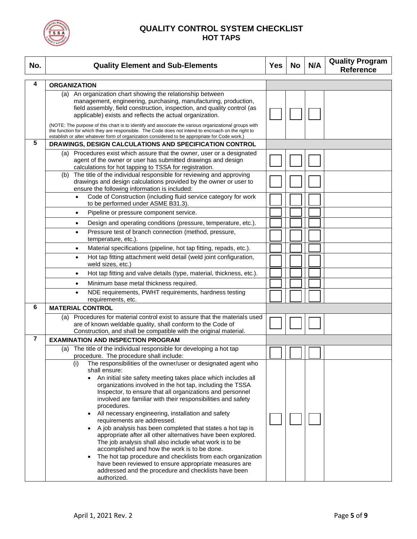

| No.                     | <b>Quality Element and Sub-Elements</b>                                                                                                                                                                                                                                                                                                                                                                                                                                                                             | <b>Yes</b> | <b>No</b> | N/A | <b>Quality Program</b><br><b>Reference</b> |
|-------------------------|---------------------------------------------------------------------------------------------------------------------------------------------------------------------------------------------------------------------------------------------------------------------------------------------------------------------------------------------------------------------------------------------------------------------------------------------------------------------------------------------------------------------|------------|-----------|-----|--------------------------------------------|
| 4                       | <b>ORGANIZATION</b>                                                                                                                                                                                                                                                                                                                                                                                                                                                                                                 |            |           |     |                                            |
|                         | (a) An organization chart showing the relationship between<br>management, engineering, purchasing, manufacturing, production,<br>field assembly, field construction, inspection, and quality control (as<br>applicable) exists and reflects the actual organization.                                                                                                                                                                                                                                                |            |           |     |                                            |
|                         | (NOTE: The purpose of this chart is to identify and associate the various organizational groups with<br>the function for which they are responsible. The Code does not intend to encroach on the right to<br>establish or alter whatever form of organization considered to be appropriate for Code work.)                                                                                                                                                                                                          |            |           |     |                                            |
| 5                       | DRAWINGS, DESIGN CALCULATIONS AND SPECIFICATION CONTROL                                                                                                                                                                                                                                                                                                                                                                                                                                                             |            |           |     |                                            |
|                         | (a) Procedures exist which assure that the owner, user or a designated<br>agent of the owner or user has submitted drawings and design<br>calculations for hot tapping to TSSA for registration.                                                                                                                                                                                                                                                                                                                    |            |           |     |                                            |
|                         | The title of the individual responsible for reviewing and approving<br>(b)<br>drawings and design calculations provided by the owner or user to<br>ensure the following information is included:                                                                                                                                                                                                                                                                                                                    |            |           |     |                                            |
|                         | Code of Construction (including fluid service category for work<br>$\bullet$<br>to be performed under ASME B31.3).                                                                                                                                                                                                                                                                                                                                                                                                  |            |           |     |                                            |
|                         | Pipeline or pressure component service.<br>$\bullet$                                                                                                                                                                                                                                                                                                                                                                                                                                                                |            |           |     |                                            |
|                         | Design and operating conditions (pressure, temperature, etc.).<br>$\bullet$                                                                                                                                                                                                                                                                                                                                                                                                                                         |            |           |     |                                            |
|                         | Pressure test of branch connection (method, pressure,<br>$\bullet$<br>temperature, etc.).                                                                                                                                                                                                                                                                                                                                                                                                                           |            |           |     |                                            |
|                         | Material specifications (pipeline, hot tap fitting, repads, etc.).<br>$\bullet$                                                                                                                                                                                                                                                                                                                                                                                                                                     |            |           |     |                                            |
|                         | Hot tap fitting attachment weld detail (weld joint configuration,<br>$\bullet$<br>weld sizes, etc.)                                                                                                                                                                                                                                                                                                                                                                                                                 |            |           |     |                                            |
|                         | Hot tap fitting and valve details (type, material, thickness, etc.).<br>$\bullet$                                                                                                                                                                                                                                                                                                                                                                                                                                   |            |           |     |                                            |
|                         | Minimum base metal thickness required.<br>$\bullet$                                                                                                                                                                                                                                                                                                                                                                                                                                                                 |            |           |     |                                            |
|                         | NDE requirements, PWHT requirements, hardness testing<br>$\bullet$<br>requirements, etc.                                                                                                                                                                                                                                                                                                                                                                                                                            |            |           |     |                                            |
| 6                       | <b>MATERIAL CONTROL</b>                                                                                                                                                                                                                                                                                                                                                                                                                                                                                             |            |           |     |                                            |
|                         | (a) Procedures for material control exist to assure that the materials used<br>are of known weldable quality, shall conform to the Code of<br>Construction, and shall be compatible with the original material.                                                                                                                                                                                                                                                                                                     |            |           |     |                                            |
| $\overline{\mathbf{r}}$ | <b>EXAMINATION AND INSPECTION PROGRAM</b>                                                                                                                                                                                                                                                                                                                                                                                                                                                                           |            |           |     |                                            |
|                         | (a) The title of the individual responsible for developing a hot tap                                                                                                                                                                                                                                                                                                                                                                                                                                                |            |           |     |                                            |
|                         | procedure. The procedure shall include:                                                                                                                                                                                                                                                                                                                                                                                                                                                                             |            |           |     |                                            |
|                         | (i)<br>The responsibilities of the owner/user or designated agent who<br>shall ensure:<br>An initial site safety meeting takes place which includes all<br>organizations involved in the hot tap, including the TSSA<br>Inspector, to ensure that all organizations and personnel<br>involved are familiar with their responsibilities and safety<br>procedures.<br>All necessary engineering, installation and safety<br>requirements are addressed.<br>A job analysis has been completed that states a hot tap is |            |           |     |                                            |
|                         | appropriate after all other alternatives have been explored.<br>The job analysis shall also include what work is to be<br>accomplished and how the work is to be done.<br>The hot tap procedure and checklists from each organization<br>have been reviewed to ensure appropriate measures are<br>addressed and the procedure and checklists have been<br>authorized.                                                                                                                                               |            |           |     |                                            |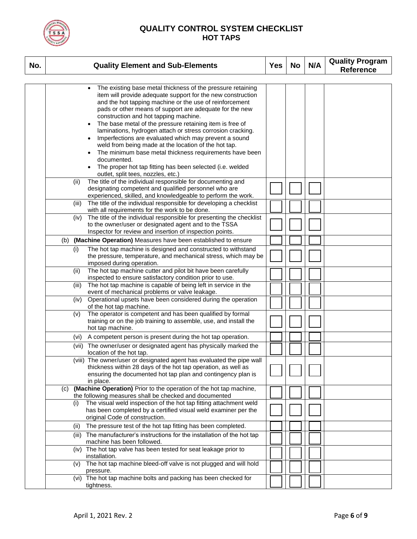

| No. |     | <b>Quality Element and Sub-Elements</b>                                                                                                                                                                                                                                                                                                                                                                                                                                                                                                                                                                                                                                                                           | <b>Yes</b> | <b>No</b> | N/A | <b>Quality Program</b><br><b>Reference</b> |
|-----|-----|-------------------------------------------------------------------------------------------------------------------------------------------------------------------------------------------------------------------------------------------------------------------------------------------------------------------------------------------------------------------------------------------------------------------------------------------------------------------------------------------------------------------------------------------------------------------------------------------------------------------------------------------------------------------------------------------------------------------|------------|-----------|-----|--------------------------------------------|
|     |     |                                                                                                                                                                                                                                                                                                                                                                                                                                                                                                                                                                                                                                                                                                                   |            |           |     |                                            |
|     |     | The existing base metal thickness of the pressure retaining<br>item will provide adequate support for the new construction<br>and the hot tapping machine or the use of reinforcement<br>pads or other means of support are adequate for the new<br>construction and hot tapping machine.<br>The base metal of the pressure retaining item is free of<br>laminations, hydrogen attach or stress corrosion cracking.<br>Imperfections are evaluated which may prevent a sound<br>weld from being made at the location of the hot tap.<br>The minimum base metal thickness requirements have been<br>documented.<br>The proper hot tap fitting has been selected (i.e. welded<br>outlet, split tees, nozzles, etc.) |            |           |     |                                            |
|     |     | The title of the individual responsible for documenting and<br>(ii)<br>designating competent and qualified personnel who are<br>experienced, skilled, and knowledgeable to perform the work.                                                                                                                                                                                                                                                                                                                                                                                                                                                                                                                      |            |           |     |                                            |
|     |     | The title of the individual responsible for developing a checklist<br>(iii)<br>with all requirements for the work to be done.                                                                                                                                                                                                                                                                                                                                                                                                                                                                                                                                                                                     |            |           |     |                                            |
|     |     | The title of the individual responsible for presenting the checklist<br>(iv)<br>to the owner/user or designated agent and to the TSSA<br>Inspector for review and insertion of inspection points.                                                                                                                                                                                                                                                                                                                                                                                                                                                                                                                 |            |           |     |                                            |
|     |     | (b) (Machine Operation) Measures have been established to ensure                                                                                                                                                                                                                                                                                                                                                                                                                                                                                                                                                                                                                                                  |            |           |     |                                            |
|     |     | (i)<br>The hot tap machine is designed and constructed to withstand<br>the pressure, temperature, and mechanical stress, which may be<br>imposed during operation.                                                                                                                                                                                                                                                                                                                                                                                                                                                                                                                                                |            |           |     |                                            |
|     |     | The hot tap machine cutter and pilot bit have been carefully<br>(ii)<br>inspected to ensure satisfactory condition prior to use.                                                                                                                                                                                                                                                                                                                                                                                                                                                                                                                                                                                  |            |           |     |                                            |
|     |     | The hot tap machine is capable of being left in service in the<br>(iii)<br>event of mechanical problems or valve leakage.                                                                                                                                                                                                                                                                                                                                                                                                                                                                                                                                                                                         |            |           |     |                                            |
|     |     | Operational upsets have been considered during the operation<br>(iv)<br>of the hot tap machine.                                                                                                                                                                                                                                                                                                                                                                                                                                                                                                                                                                                                                   |            |           |     |                                            |
|     |     | The operator is competent and has been qualified by formal<br>(v)<br>training or on the job training to assemble, use, and install the<br>hot tap machine.                                                                                                                                                                                                                                                                                                                                                                                                                                                                                                                                                        |            |           |     |                                            |
|     |     | A competent person is present during the hot tap operation.<br>(vi)                                                                                                                                                                                                                                                                                                                                                                                                                                                                                                                                                                                                                                               |            |           |     |                                            |
|     |     | (vii) The owner/user or designated agent has physically marked the<br>location of the hot tap.                                                                                                                                                                                                                                                                                                                                                                                                                                                                                                                                                                                                                    |            |           |     |                                            |
|     |     | (viii) The owner/user or designated agent has evaluated the pipe wall<br>thickness within 28 days of the hot tap operation, as well as<br>ensuring the documented hot tap plan and contingency plan is<br>in place.                                                                                                                                                                                                                                                                                                                                                                                                                                                                                               |            |           |     |                                            |
|     | (C) | (Machine Operation) Prior to the operation of the hot tap machine,<br>the following measures shall be checked and documented                                                                                                                                                                                                                                                                                                                                                                                                                                                                                                                                                                                      |            |           |     |                                            |
|     |     | The visual weld inspection of the hot tap fitting attachment weld<br>(i)<br>has been completed by a certified visual weld examiner per the<br>original Code of construction.                                                                                                                                                                                                                                                                                                                                                                                                                                                                                                                                      |            |           |     |                                            |
|     |     | The pressure test of the hot tap fitting has been completed.<br>(II)                                                                                                                                                                                                                                                                                                                                                                                                                                                                                                                                                                                                                                              |            |           |     |                                            |
|     |     | The manufacturer's instructions for the installation of the hot tap<br>(iii)<br>machine has been followed.                                                                                                                                                                                                                                                                                                                                                                                                                                                                                                                                                                                                        |            |           |     |                                            |
|     |     | (iv) The hot tap valve has been tested for seat leakage prior to<br>installation.                                                                                                                                                                                                                                                                                                                                                                                                                                                                                                                                                                                                                                 |            |           |     |                                            |
|     |     | The hot tap machine bleed-off valve is not plugged and will hold<br>(v)<br>pressure.                                                                                                                                                                                                                                                                                                                                                                                                                                                                                                                                                                                                                              |            |           |     |                                            |
|     |     | (vi) The hot tap machine bolts and packing has been checked for<br>tightness.                                                                                                                                                                                                                                                                                                                                                                                                                                                                                                                                                                                                                                     |            |           |     |                                            |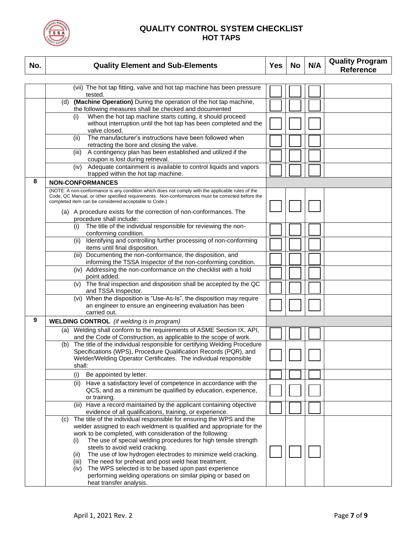

| No. | <b>Quality Element and Sub-Elements</b>                                                                                                                                                                                                                                                      | <b>Yes</b> | <b>No</b> | N/A | <b>Quality Program</b><br><b>Reference</b> |
|-----|----------------------------------------------------------------------------------------------------------------------------------------------------------------------------------------------------------------------------------------------------------------------------------------------|------------|-----------|-----|--------------------------------------------|
|     | (vii) The hot tap fitting, valve and hot tap machine has been pressure                                                                                                                                                                                                                       |            |           |     |                                            |
|     | tested.                                                                                                                                                                                                                                                                                      |            |           |     |                                            |
|     | (d) (Machine Operation) During the operation of the hot tap machine,<br>the following measures shall be checked and documented                                                                                                                                                               |            |           |     |                                            |
|     | When the hot tap machine starts cutting, it should proceed<br>(i)<br>without interruption until the hot tap has been completed and the<br>valve closed.                                                                                                                                      |            |           |     |                                            |
|     | The manufacturer's instructions have been followed when<br>(ii)<br>retracting the bore and closing the valve.                                                                                                                                                                                |            |           |     |                                            |
|     | A contingency plan has been established and utilized if the<br>(iii)<br>coupon is lost during retrieval.                                                                                                                                                                                     |            |           |     |                                            |
|     | Adequate containment is available to control liquids and vapors<br>(iv)<br>trapped within the hot tap machine.                                                                                                                                                                               |            |           |     |                                            |
| 8   | <b>NON-CONFORMANCES</b>                                                                                                                                                                                                                                                                      |            |           |     |                                            |
|     | (NOTE: A non-conformance is any condition which does not comply with the applicable rules of the<br>Code, QC Manual, or other specified requirements. Non-conformances must be corrected before the<br>completed item can be considered acceptable to Code.)                                 |            |           |     |                                            |
|     | (a) A procedure exists for the correction of non-conformances. The<br>procedure shall include:                                                                                                                                                                                               |            |           |     |                                            |
|     | The title of the individual responsible for reviewing the non-<br>(i)<br>conforming condition.                                                                                                                                                                                               |            |           |     |                                            |
|     | Identifying and controlling further processing of non-conforming<br>(ii)<br>items until final disposition.                                                                                                                                                                                   |            |           |     |                                            |
|     | (iii) Documenting the non-conformance, the disposition, and<br>informing the TSSA Inspector of the non-conforming condition.                                                                                                                                                                 |            |           |     |                                            |
|     | (iv) Addressing the non-conformance on the checklist with a hold<br>point added.                                                                                                                                                                                                             |            |           |     |                                            |
|     | (v) The final inspection and disposition shall be accepted by the QC<br>and TSSA Inspector.                                                                                                                                                                                                  |            |           |     |                                            |
|     | When the disposition is "Use-As-Is", the disposition may require<br>(vi)<br>an engineer to ensure an engineering evaluation has been<br>carried out.                                                                                                                                         |            |           |     |                                            |
| 9   | <b>WELDING CONTROL</b> (if welding is in program)                                                                                                                                                                                                                                            |            |           |     |                                            |
|     | (a) Welding shall conform to the requirements of ASME Section IX, API,<br>and the Code of Construction, as applicable to the scope of work.                                                                                                                                                  |            |           |     |                                            |
|     | The title of the individual responsible for certifying Welding Procedure<br>(b)<br>Specifications (WPS), Procedure Qualification Records (PQR), and                                                                                                                                          |            |           |     |                                            |
|     | Welder/Welding Operator Certificates. The individual responsible<br>shall:                                                                                                                                                                                                                   |            |           |     |                                            |
|     | (i)<br>Be appointed by letter.                                                                                                                                                                                                                                                               |            |           |     |                                            |
|     | (ii) Have a satisfactory level of competence in accordance with the<br>QCS, and as a minimum be qualified by education, experience,<br>or training.                                                                                                                                          |            |           |     |                                            |
|     | (iii) Have a record maintained by the applicant containing objective<br>evidence of all qualifications, training, or experience.                                                                                                                                                             |            |           |     |                                            |
|     | The title of the individual responsible for ensuring the WPS and the<br>(C)<br>welder assigned to each weldment is qualified and appropriate for the<br>work to be completed, with consideration of the following:<br>The use of special welding procedures for high tensile strength<br>(i) |            |           |     |                                            |
|     | steels to avoid weld cracking.<br>The use of low hydrogen electrodes to minimize weld cracking.<br>(ii)<br>The need for preheat and post weld heat treatment.<br>(iii)<br>The WPS selected is to be based upon past experience<br>(iv)                                                       |            |           |     |                                            |
|     | performing welding operations on similar piping or based on<br>heat transfer analysis.                                                                                                                                                                                                       |            |           |     |                                            |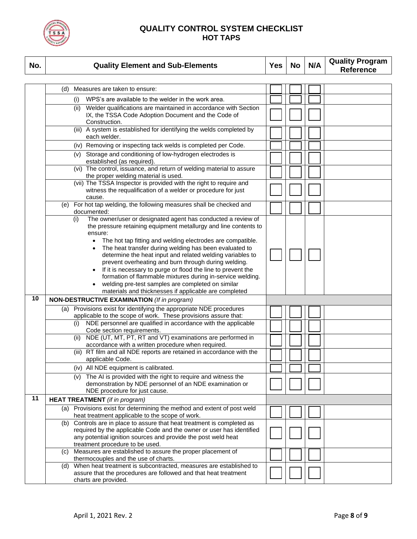

| No. | <b>Quality Element and Sub-Elements</b>                                                                                                 | <b>Yes</b> | <b>No</b> | N/A | <b>Quality Program</b><br><b>Reference</b> |
|-----|-----------------------------------------------------------------------------------------------------------------------------------------|------------|-----------|-----|--------------------------------------------|
|     |                                                                                                                                         |            |           |     |                                            |
|     | (d) Measures are taken to ensure:                                                                                                       |            |           |     |                                            |
|     | WPS's are available to the welder in the work area.<br>(i)                                                                              |            |           |     |                                            |
|     | (ii) Welder qualifications are maintained in accordance with Section                                                                    |            |           |     |                                            |
|     | IX, the TSSA Code Adoption Document and the Code of                                                                                     |            |           |     |                                            |
|     | Construction.<br>(iii) A system is established for identifying the welds completed by                                                   |            |           |     |                                            |
|     | each welder.                                                                                                                            |            |           |     |                                            |
|     | (iv) Removing or inspecting tack welds is completed per Code.                                                                           |            |           |     |                                            |
|     | (v) Storage and conditioning of low-hydrogen electrodes is                                                                              |            |           |     |                                            |
|     | established (as required).<br>(vi) The control, issuance, and return of welding material to assure                                      |            |           |     |                                            |
|     | the proper welding material is used.                                                                                                    |            |           |     |                                            |
|     | (vii) The TSSA Inspector is provided with the right to require and                                                                      |            |           |     |                                            |
|     | witness the requalification of a welder or procedure for just<br>cause.                                                                 |            |           |     |                                            |
|     | (e) For hot tap welding, the following measures shall be checked and                                                                    |            |           |     |                                            |
|     | documented:                                                                                                                             |            |           |     |                                            |
|     | The owner/user or designated agent has conducted a review of<br>(i)<br>the pressure retaining equipment metallurgy and line contents to |            |           |     |                                            |
|     | ensure:                                                                                                                                 |            |           |     |                                            |
|     | The hot tap fitting and welding electrodes are compatible.<br>$\bullet$                                                                 |            |           |     |                                            |
|     | The heat transfer during welding has been evaluated to                                                                                  |            |           |     |                                            |
|     | determine the heat input and related welding variables to                                                                               |            |           |     |                                            |
|     | prevent overheating and burn through during welding.<br>If it is necessary to purge or flood the line to prevent the                    |            |           |     |                                            |
|     | formation of flammable mixtures during in-service welding.                                                                              |            |           |     |                                            |
|     | welding pre-test samples are completed on similar                                                                                       |            |           |     |                                            |
|     | materials and thicknesses if applicable are completed                                                                                   |            |           |     |                                            |
| 10  | <b>NON-DESTRUCTIVE EXAMINATION</b> (If in program)                                                                                      |            |           |     |                                            |
|     | Provisions exist for identifying the appropriate NDE procedures<br>(a)                                                                  |            |           |     |                                            |
|     | applicable to the scope of work. These provisions assure that:<br>NDE personnel are qualified in accordance with the applicable         |            |           |     |                                            |
|     | (i)<br>Code section requirements.                                                                                                       |            |           |     |                                            |
|     | NDE (UT, MT, PT, RT and VT) examinations are performed in<br>(ii)                                                                       |            |           |     |                                            |
|     | accordance with a written procedure when required.                                                                                      |            |           |     |                                            |
|     | (iii) RT film and all NDE reports are retained in accordance with the                                                                   |            |           |     |                                            |
|     | applicable Code.                                                                                                                        |            |           |     |                                            |
|     | (iv) All NDE equipment is calibrated.<br>(v) The AI is provided with the right to require and witness the                               |            |           |     |                                            |
|     | demonstration by NDE personnel of an NDE examination or                                                                                 |            |           |     |                                            |
|     | NDE procedure for just cause.                                                                                                           |            |           |     |                                            |
| 11  | <b>HEAT TREATMENT</b> (if in program)                                                                                                   |            |           |     |                                            |
|     | (a) Provisions exist for determining the method and extent of post weld<br>heat treatment applicable to the scope of work.              |            |           |     |                                            |
|     | Controls are in place to assure that heat treatment is completed as<br>(b)                                                              |            |           |     |                                            |
|     | required by the applicable Code and the owner or user has identified                                                                    |            |           |     |                                            |
|     | any potential ignition sources and provide the post weld heat                                                                           |            |           |     |                                            |
|     | treatment procedure to be used.                                                                                                         |            |           |     |                                            |
|     | Measures are established to assure the proper placement of<br>(C)<br>thermocouples and the use of charts.                               |            |           |     |                                            |
|     | When heat treatment is subcontracted, measures are established to<br>(d)                                                                |            |           |     |                                            |
|     | assure that the procedures are followed and that heat treatment                                                                         |            |           |     |                                            |
|     | charts are provided.                                                                                                                    |            |           |     |                                            |